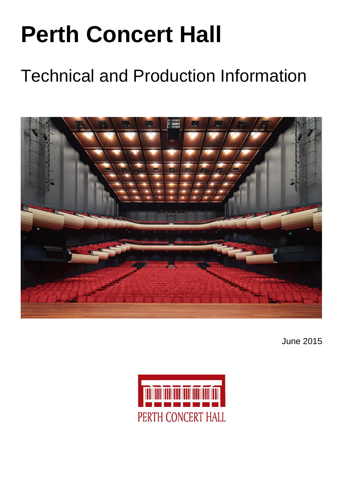# **Perth Concert Hall**

## Technical and Production Information



June 2015

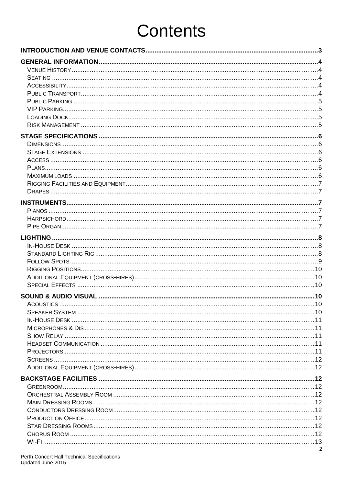## **Contents**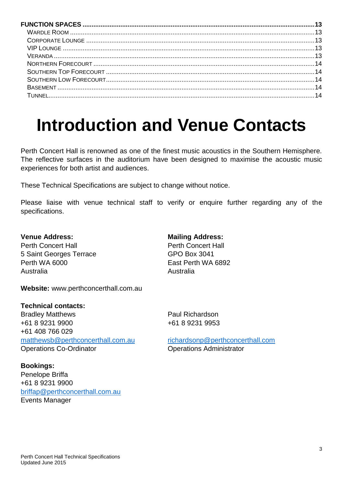## **Introduction and Venue Contacts**

Perth Concert Hall is renowned as one of the finest music acoustics in the Southern Hemisphere. The reflective surfaces in the auditorium have been designed to maximise the acoustic music experiences for both artist and audiences.

These Technical Specifications are subject to change without notice.

Please liaise with venue technical staff to verify or enquire further regarding any of the specifications.

#### **Venue Address: Mailing Address:**

Perth Concert Hall **Perth Concert Hall** 5 Saint Georges Terrace GPO Box 3041 Perth WA 6000 **East Perth WA 6892** Australia Australia

**Website:** www.perthconcerthall.com.au

#### **Technical contacts:**

Bradley Matthews **Paul Richardson** +61 8 9231 9900 +61 8 9231 9953 +61 408 766 029 [matthewsb@perthconcerthall.com.au](mailto:matthewsb@perthconcerthall.com.au) [richardsonp@perthconcerthall.com](mailto:richardsonp@perthconcerthall.com) Operations Co-Ordinator **Company** Operations Administrator

**Bookings:** Penelope Briffa +61 8 9231 9900 [briffap@perthconcerthall.com.au](mailto:briffap@perthconcerthall.com.au) Events Manager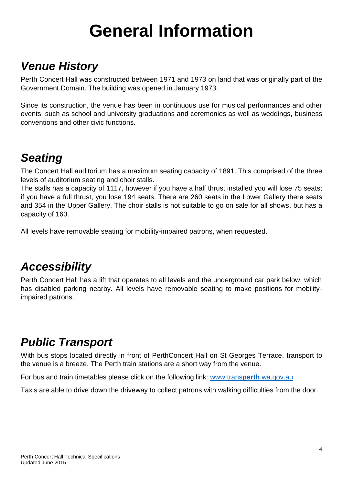## **General Information**

### *Venue History*

Perth Concert Hall was constructed between 1971 and 1973 on land that was originally part of the Government Domain. The building was opened in January 1973.

Since its construction, the venue has been in continuous use for musical performances and other events, such as school and university graduations and ceremonies as well as weddings, business conventions and other civic functions.

### *Seating*

The Concert Hall auditorium has a maximum seating capacity of 1891. This comprised of the three levels of auditorium seating and choir stalls.

The stalls has a capacity of 1117, however if you have a half thrust installed you will lose 75 seats; if you have a full thrust, you lose 194 seats. There are 260 seats in the Lower Gallery there seats and 354 in the Upper Gallery. The choir stalls is not suitable to go on sale for all shows, but has a capacity of 160.

All levels have removable seating for mobility-impaired patrons, when requested.

### *Accessibility*

Perth Concert Hall has a lift that operates to all levels and the underground car park below, which has disabled parking nearby. All levels have removable seating to make positions for mobilityimpaired patrons.

### *Public Transport*

With bus stops located directly in front of PerthConcert Hall on St Georges Terrace, transport to the venue is a breeze. The Perth train stations are a short way from the venue.

For bus and train timetables please click on the following link: [www.trans](http://www.transperth.wa.gov.au/)**perth**.wa.gov.au

Taxis are able to drive down the driveway to collect patrons with walking difficulties from the door.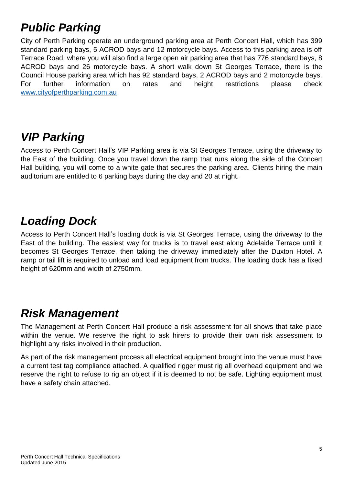### *Public Parking*

City of Perth Parking operate an underground parking area at Perth Concert Hall, which has 399 standard parking bays, 5 ACROD bays and 12 motorcycle bays. Access to this parking area is off Terrace Road, where you will also find a large open air parking area that has 776 standard bays, 8 ACROD bays and 26 motorcycle bays. A short walk down St Georges Terrace, there is the Council House parking area which has 92 standard bays, 2 ACROD bays and 2 motorcycle bays. For further information on rates and height restrictions please check [www.cityofperthparking.com.au](http://www.cityofperthparking.com.au/)

### *VIP Parking*

Access to Perth Concert Hall's VIP Parking area is via St Georges Terrace, using the driveway to the East of the building. Once you travel down the ramp that runs along the side of the Concert Hall building, you will come to a white gate that secures the parking area. Clients hiring the main auditorium are entitled to 6 parking bays during the day and 20 at night.

### *Loading Dock*

Access to Perth Concert Hall's loading dock is via St Georges Terrace, using the driveway to the East of the building. The easiest way for trucks is to travel east along Adelaide Terrace until it becomes St Georges Terrace, then taking the driveway immediately after the Duxton Hotel. A ramp or tail lift is required to unload and load equipment from trucks. The loading dock has a fixed height of 620mm and width of 2750mm.

### *Risk Management*

The Management at Perth Concert Hall produce a risk assessment for all shows that take place within the venue. We reserve the right to ask hirers to provide their own risk assessment to highlight any risks involved in their production.

As part of the risk management process all electrical equipment brought into the venue must have a current test tag compliance attached. A qualified rigger must rig all overhead equipment and we reserve the right to refuse to rig an object if it is deemed to not be safe. Lighting equipment must have a safety chain attached.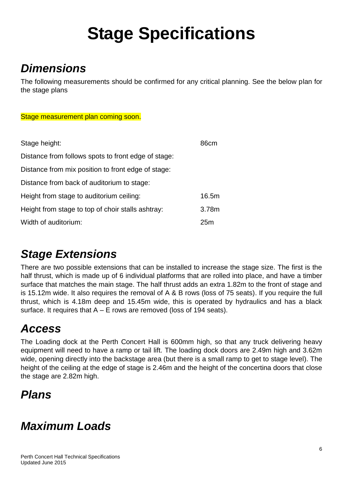## **Stage Specifications**

### *Dimensions*

The following measurements should be confirmed for any critical planning. See the below plan for the stage plans

#### Stage measurement plan coming soon.

| Stage height:                                       | 86cm  |
|-----------------------------------------------------|-------|
| Distance from follows spots to front edge of stage: |       |
| Distance from mix position to front edge of stage:  |       |
| Distance from back of auditorium to stage:          |       |
| Height from stage to auditorium ceiling:            | 16.5m |
| Height from stage to top of choir stalls ashtray:   | 3.78m |
| Width of auditorium:                                | 25m   |

### *Stage Extensions*

There are two possible extensions that can be installed to increase the stage size. The first is the half thrust, which is made up of 6 individual platforms that are rolled into place, and have a timber surface that matches the main stage. The half thrust adds an extra 1.82m to the front of stage and is 15.12m wide. It also requires the removal of A & B rows (loss of 75 seats). If you require the full thrust, which is 4.18m deep and 15.45m wide, this is operated by hydraulics and has a black surface. It requires that  $A - E$  rows are removed (loss of 194 seats).

### *Access*

The Loading dock at the Perth Concert Hall is 600mm high, so that any truck delivering heavy equipment will need to have a ramp or tail lift. The loading dock doors are 2.49m high and 3.62m wide, opening directly into the backstage area (but there is a small ramp to get to stage level). The height of the ceiling at the edge of stage is 2.46m and the height of the concertina doors that close the stage are 2.82m high.

### *Plans*

### *Maximum Loads*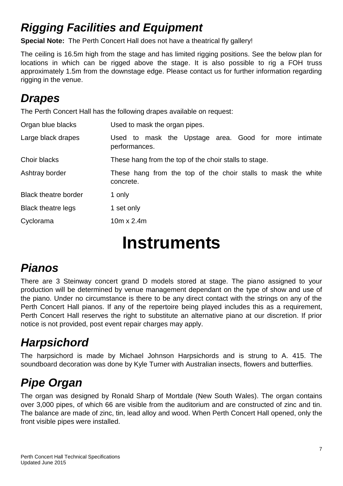### *Rigging Facilities and Equipment*

**Special Note:** The Perth Concert Hall does not have a theatrical fly gallery!

The ceiling is 16.5m high from the stage and has limited rigging positions. See the below plan for locations in which can be rigged above the stage. It is also possible to rig a FOH truss approximately 1.5m from the downstage edge. Please contact us for further information regarding rigging in the venue.

### *Drapes*

The Perth Concert Hall has the following drapes available on request:

| Organ blue blacks           | Used to mask the organ pipes.                                              |
|-----------------------------|----------------------------------------------------------------------------|
| Large black drapes          | Used to mask the Upstage area. Good for more intimate<br>performances.     |
| Choir blacks                | These hang from the top of the choir stalls to stage.                      |
| Ashtray border              | These hang from the top of the choir stalls to mask the white<br>concrete. |
| <b>Black theatre border</b> | 1 only                                                                     |
| <b>Black theatre legs</b>   | 1 set only                                                                 |
| Cyclorama                   | $10m \times 2.4m$                                                          |

## **Instruments**

### *Pianos*

There are 3 Steinway concert grand D models stored at stage. The piano assigned to your production will be determined by venue management dependant on the type of show and use of the piano. Under no circumstance is there to be any direct contact with the strings on any of the Perth Concert Hall pianos. If any of the repertoire being played includes this as a requirement, Perth Concert Hall reserves the right to substitute an alternative piano at our discretion. If prior notice is not provided, post event repair charges may apply.

### *Harpsichord*

The harpsichord is made by Michael Johnson Harpsichords and is strung to A. 415. The soundboard decoration was done by Kyle Turner with Australian insects, flowers and butterflies.

### *Pipe Organ*

The organ was designed by Ronald Sharp of Mortdale (New South Wales). The organ contains over 3,000 pipes, of which 66 are visible from the auditorium and are constructed of zinc and tin. The balance are made of zinc, tin, lead alloy and wood. When Perth Concert Hall opened, only the front visible pipes were installed.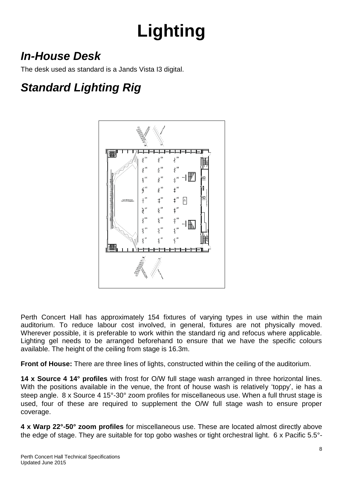## **Lighting**

### *In-House Desk*

The desk used as standard is a Jands Vista I3 digital.

### *Standard Lighting Rig*



Perth Concert Hall has approximately 154 fixtures of varying types in use within the main auditorium. To reduce labour cost involved, in general, fixtures are not physically moved. Wherever possible, it is preferable to work within the standard rig and refocus where applicable. Lighting gel needs to be arranged beforehand to ensure that we have the specific colours available. The height of the ceiling from stage is 16.3m.

**Front of House:** There are three lines of lights, constructed within the ceiling of the auditorium.

**14 x Source 4 14° profiles** with frost for O/W full stage wash arranged in three horizontal lines. With the positions available in the venue, the front of house wash is relatively 'toppy', ie has a steep angle. 8 x Source 4 15°-30° zoom profiles for miscellaneous use. When a full thrust stage is used, four of these are required to supplement the O/W full stage wash to ensure proper coverage.

**4 x Warp 22°-50° zoom profiles** for miscellaneous use. These are located almost directly above the edge of stage. They are suitable for top gobo washes or tight orchestral light. 6 x Pacific 5.5°-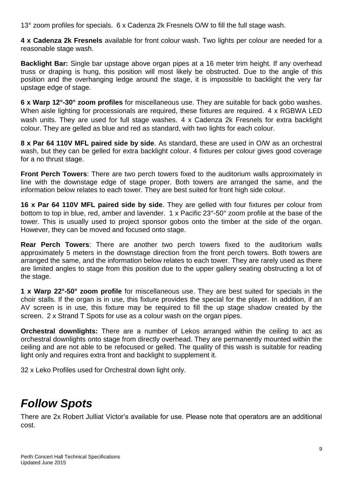13° zoom profiles for specials. 6 x Cadenza 2k Fresnels O/W to fill the full stage wash.

**4 x Cadenza 2k Fresnels** available for front colour wash. Two lights per colour are needed for a reasonable stage wash.

**Backlight Bar:** Single bar upstage above organ pipes at a 16 meter trim height. If any overhead truss or draping is hung, this position will most likely be obstructed. Due to the angle of this position and the overhanging ledge around the stage, it is impossible to backlight the very far upstage edge of stage.

**6 x Warp 12°-30° zoom profiles** for miscellaneous use. They are suitable for back gobo washes. When aisle lighting for processionals are required, these fixtures are required. 4 x RGBWA LED wash units. They are used for full stage washes. 4 x Cadenza 2k Fresnels for extra backlight colour. They are gelled as blue and red as standard, with two lights for each colour.

**8 x Par 64 110V MFL paired side by side**. As standard, these are used in O/W as an orchestral wash, but they can be gelled for extra backlight colour. 4 fixtures per colour gives good coverage for a no thrust stage.

**Front Perch Towers**: There are two perch towers fixed to the auditorium walls approximately in line with the downstage edge of stage proper. Both towers are arranged the same, and the information below relates to each tower. They are best suited for front high side colour.

**16 x Par 64 110V MFL paired side by side**. They are gelled with four fixtures per colour from bottom to top in blue, red, amber and lavender. 1 x Pacific 23°-50° zoom profile at the base of the tower. This is usually used to project sponsor gobos onto the timber at the side of the organ. However, they can be moved and focused onto stage.

**Rear Perch Towers**: There are another two perch towers fixed to the auditorium walls approximately 5 meters in the downstage direction from the front perch towers. Both towers are arranged the same, and the information below relates to each tower. They are rarely used as there are limited angles to stage from this position due to the upper gallery seating obstructing a lot of the stage.

**1 x Warp 22°-50° zoom profile** for miscellaneous use. They are best suited for specials in the choir stalls. If the organ is in use, this fixture provides the special for the player. In addition, if an AV screen is in use, this fixture may be required to fill the up stage shadow created by the screen. 2 x Strand T Spots for use as a colour wash on the organ pipes.

**Orchestral downlights:** There are a number of Lekos arranged within the ceiling to act as orchestral downlights onto stage from directly overhead. They are permanently mounted within the ceiling and are not able to be refocused or gelled. The quality of this wash is suitable for reading light only and requires extra front and backlight to supplement it.

32 x Leko Profiles used for Orchestral down light only.

### *Follow Spots*

There are 2x Robert Julliat Victor's available for use. Please note that operators are an additional cost.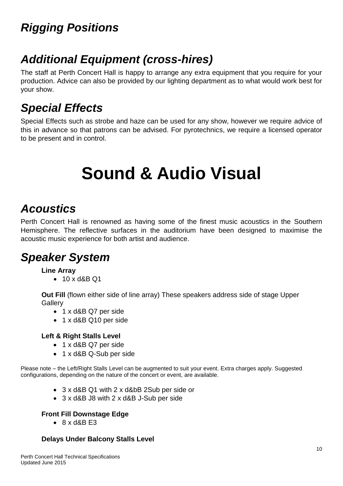### *Rigging Positions*

### *Additional Equipment (cross-hires)*

The staff at Perth Concert Hall is happy to arrange any extra equipment that you require for your production. Advice can also be provided by our lighting department as to what would work best for your show.

### *Special Effects*

Special Effects such as strobe and haze can be used for any show, however we require advice of this in advance so that patrons can be advised. For pyrotechnics, we require a licensed operator to be present and in control.

## **Sound & Audio Visual**

### *Acoustics*

Perth Concert Hall is renowned as having some of the finest music acoustics in the Southern Hemisphere. The reflective surfaces in the auditorium have been designed to maximise the acoustic music experience for both artist and audience.

### *Speaker System*

#### **Line Array**

• 10 x d&B Q1

**Out Fill** (flown either side of line array) These speakers address side of stage Upper **Gallerv** 

- 1 x d&B Q7 per side
- 1 x d&B Q10 per side

#### **Left & Right Stalls Level**

- 1 x d&B Q7 per side
- 1 x d&B Q-Sub per side

Please note – the Left/Right Stalls Level can be augmented to suit your event. Extra charges apply. Suggested configurations, depending on the nature of the concert or event, are available.

- 3 x d&B Q1 with 2 x d&bB 2Sub per side or
- 3 x d&B J8 with 2 x d&B J-Sub per side

#### **Front Fill Downstage Edge**

 $\bullet$  8 x d&B F3

#### **Delays Under Balcony Stalls Level**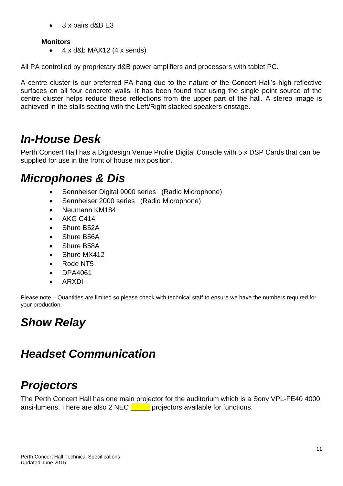• 3 x pairs d&B E3

#### **Monitors**

 $\bullet$  4 x d&b MAX12 (4 x sends)

All PA controlled by proprietary d&B power amplifiers and processors with tablet PC.

A centre cluster is our preferred PA hang due to the nature of the Concert Hall's high reflective surfaces on all four concrete walls. It has been found that using the single point source of the centre cluster helps reduce these reflections from the upper part of the hall. A stereo image is achieved in the stalls seating with the Left/Right stacked speakers onstage.

### *In-House Desk*

Perth Concert Hall has a Digidesign Venue Profile Digital Console with 5 x DSP Cards that can be supplied for use in the front of house mix position.

### *Microphones & Dis*

- Sennheiser Digital 9000 series (Radio Microphone)
- Sennheiser 2000 series (Radio Microphone)
- Neumann KM184
- AKG C414
- Shure B52A
- Shure B56A
- Shure B58A
- Shure MX412
- Rode NT5
- DPA4061
- ARXDI

Please note – Quantities are limited so please check with technical staff to ensure we have the numbers required for your production.

### *Show Relay*

### *Headset Communication*

### *Projectors*

The Perth Concert Hall has one main projector for the auditorium which is a Sony VPL-FE40 4000 ansi-lumens. There are also 2 NEC  $\Box$  projectors available for functions.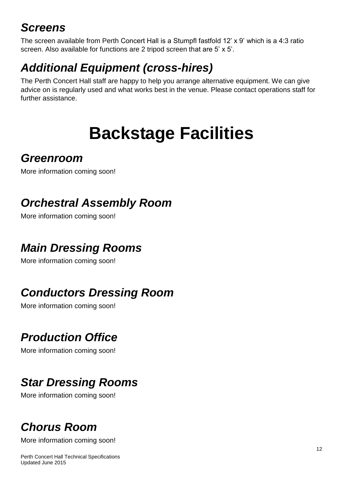### *Screens*

The screen available from Perth Concert Hall is a Stumpfl fastfold 12' x 9' which is a 4:3 ratio screen. Also available for functions are 2 tripod screen that are 5' x 5'.

### *Additional Equipment (cross-hires)*

The Perth Concert Hall staff are happy to help you arrange alternative equipment. We can give advice on is regularly used and what works best in the venue. Please contact operations staff for further assistance.

## **Backstage Facilities**

### *Greenroom*

More information coming soon!

### *Orchestral Assembly Room*

More information coming soon!

### *Main Dressing Rooms*

More information coming soon!

### *Conductors Dressing Room*

More information coming soon!

### *Production Office*

More information coming soon!

### *Star Dressing Rooms*

More information coming soon!

### *Chorus Room*

More information coming soon!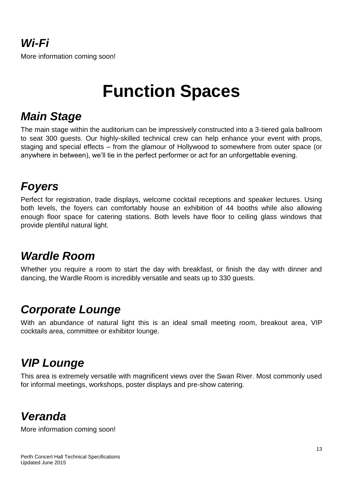## **Function Spaces**

### *Main Stage*

The main stage within the auditorium can be impressively constructed into a 3-tiered gala ballroom to seat 300 guests. Our highly-skilled technical crew can help enhance your event with props, staging and special effects – from the glamour of Hollywood to somewhere from outer space (or anywhere in between), we'll tie in the perfect performer or act for an unforgettable evening.

### *Foyers*

Perfect for registration, trade displays, welcome cocktail receptions and speaker lectures. Using both levels, the foyers can comfortably house an exhibition of 44 booths while also allowing enough floor space for catering stations. Both levels have floor to ceiling glass windows that provide plentiful natural light.

### *Wardle Room*

Whether you require a room to start the day with breakfast, or finish the day with dinner and dancing, the Wardle Room is incredibly versatile and seats up to 330 guests.

### *Corporate Lounge*

With an abundance of natural light this is an ideal small meeting room, breakout area, VIP cocktails area, committee or exhibitor lounge.

### *VIP Lounge*

This area is extremely versatile with magnificent views over the Swan River. Most commonly used for informal meetings, workshops, poster displays and pre-show catering.

### *Veranda*

More information coming soon!